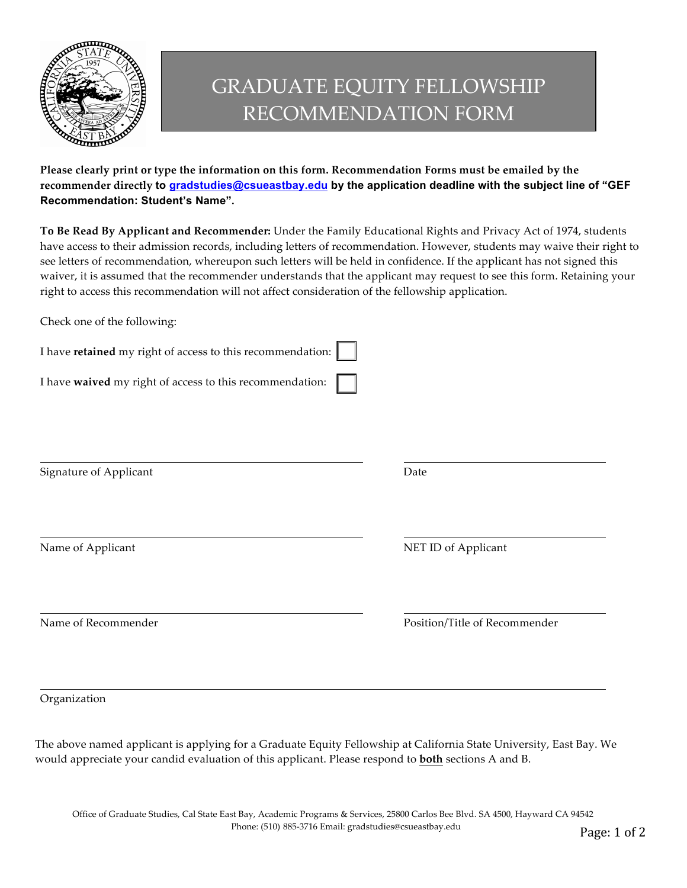

## GRADUATE EQUITY FELLOWSHIP RECOMMENDATION FORM

**Please clearly print or type the information on this form. Recommendation Forms must be emailed by the recommender directly to [gradstudies@csueastbay.edu](mailto:gradstudies@csueastbay.edu) by the application deadline with the subject line of "GEF Recommendation: Student's Name".** 

**To Be Read By Applicant and Recommender:** Under the Family Educational Rights and Privacy Act of 1974, students have access to their admission records, including letters of recommendation. However, students may waive their right to see letters of recommendation, whereupon such letters will be held in confidence. If the applicant has not signed this waiver, it is assumed that the recommender understands that the applicant may request to see this form. Retaining your right to access this recommendation will not affect consideration of the fellowship application.

Check one of the following:

| I have retained my right of access to this recommendation: |                               |
|------------------------------------------------------------|-------------------------------|
| I have waived my right of access to this recommendation:   |                               |
|                                                            |                               |
| Signature of Applicant                                     | Date                          |
| Name of Applicant                                          | NET ID of Applicant           |
| Name of Recommender                                        | Position/Title of Recommender |

Organization

The above named applicant is applying for a Graduate Equity Fellowship at California State University, East Bay. We would appreciate your candid evaluation of this applicant. Please respond to **both** sections A and B.